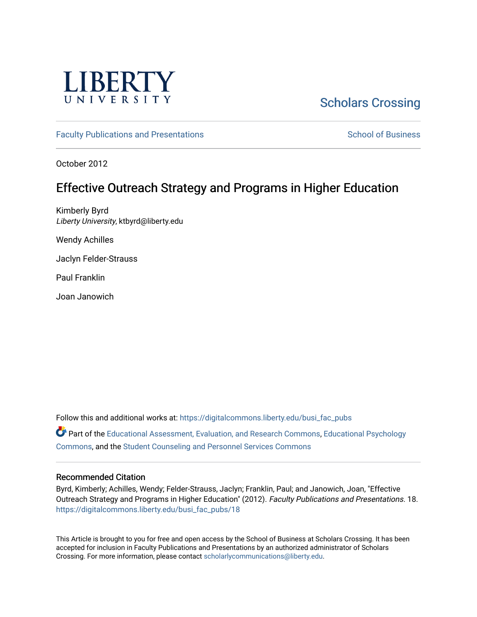

# [Scholars Crossing](https://digitalcommons.liberty.edu/)

[Faculty Publications and Presentations](https://digitalcommons.liberty.edu/busi_fac_pubs) [School of Business](https://digitalcommons.liberty.edu/sob) School of Business School of Business

October 2012

## Effective Outreach Strategy and Programs in Higher Education

Kimberly Byrd Liberty University, ktbyrd@liberty.edu

Wendy Achilles

Jaclyn Felder-Strauss

Paul Franklin

Joan Janowich

Follow this and additional works at: [https://digitalcommons.liberty.edu/busi\\_fac\\_pubs](https://digitalcommons.liberty.edu/busi_fac_pubs?utm_source=digitalcommons.liberty.edu%2Fbusi_fac_pubs%2F18&utm_medium=PDF&utm_campaign=PDFCoverPages)  Part of the [Educational Assessment, Evaluation, and Research Commons](http://network.bepress.com/hgg/discipline/796?utm_source=digitalcommons.liberty.edu%2Fbusi_fac_pubs%2F18&utm_medium=PDF&utm_campaign=PDFCoverPages), [Educational Psychology](http://network.bepress.com/hgg/discipline/798?utm_source=digitalcommons.liberty.edu%2Fbusi_fac_pubs%2F18&utm_medium=PDF&utm_campaign=PDFCoverPages) [Commons](http://network.bepress.com/hgg/discipline/798?utm_source=digitalcommons.liberty.edu%2Fbusi_fac_pubs%2F18&utm_medium=PDF&utm_campaign=PDFCoverPages), and the [Student Counseling and Personnel Services Commons](http://network.bepress.com/hgg/discipline/802?utm_source=digitalcommons.liberty.edu%2Fbusi_fac_pubs%2F18&utm_medium=PDF&utm_campaign=PDFCoverPages) 

### Recommended Citation

Byrd, Kimberly; Achilles, Wendy; Felder-Strauss, Jaclyn; Franklin, Paul; and Janowich, Joan, "Effective Outreach Strategy and Programs in Higher Education" (2012). Faculty Publications and Presentations. 18. [https://digitalcommons.liberty.edu/busi\\_fac\\_pubs/18](https://digitalcommons.liberty.edu/busi_fac_pubs/18?utm_source=digitalcommons.liberty.edu%2Fbusi_fac_pubs%2F18&utm_medium=PDF&utm_campaign=PDFCoverPages)

This Article is brought to you for free and open access by the School of Business at Scholars Crossing. It has been accepted for inclusion in Faculty Publications and Presentations by an authorized administrator of Scholars Crossing. For more information, please contact [scholarlycommunications@liberty.edu](mailto:scholarlycommunications@liberty.edu).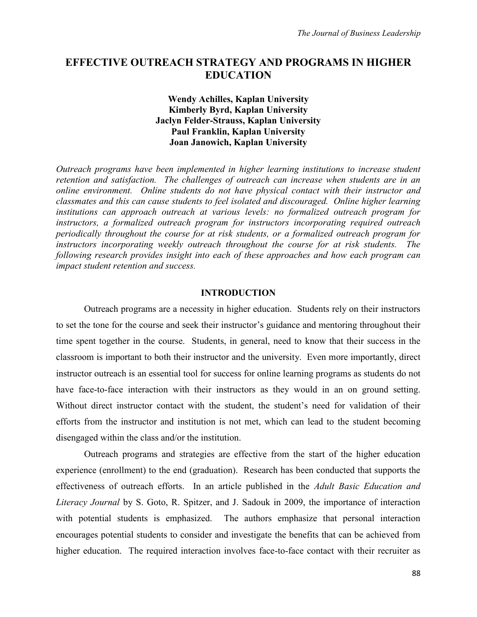## **EFFECTIVE OUTREACH STRATEGY AND PROGRAMS IN HIGHER EDUCATION**

## **Wendy Achilles, Kaplan University Kimberly Byrd, Kaplan University Jaclyn Felder-Strauss, Kaplan University Paul Franklin, Kaplan University Joan Janowich, Kaplan University**

*Outreach programs have been implemented in higher learning institutions to increase student retention and satisfaction. The challenges of outreach can increase when students are in an online environment. Online students do not have physical contact with their instructor and classmates and this can cause students to feel isolated and discouraged. Online higher learning institutions can approach outreach at various levels: no formalized outreach program for instructors, a formalized outreach program for instructors incorporating required outreach periodically throughout the course for at risk students, or a formalized outreach program for instructors incorporating weekly outreach throughout the course for at risk students. The following research provides insight into each of these approaches and how each program can impact student retention and success.*

## **INTRODUCTION**

Outreach programs are a necessity in higher education. Students rely on their instructors to set the tone for the course and seek their instructor's guidance and mentoring throughout their time spent together in the course. Students, in general, need to know that their success in the classroom is important to both their instructor and the university. Even more importantly, direct instructor outreach is an essential tool for success for online learning programs as students do not have face-to-face interaction with their instructors as they would in an on ground setting. Without direct instructor contact with the student, the student's need for validation of their efforts from the instructor and institution is not met, which can lead to the student becoming disengaged within the class and/or the institution.

Outreach programs and strategies are effective from the start of the higher education experience (enrollment) to the end (graduation). Research has been conducted that supports the effectiveness of outreach efforts. In an article published in the *Adult Basic Education and Literacy Journal* by S. Goto, R. Spitzer, and J. Sadouk in 2009, the importance of interaction with potential students is emphasized. The authors emphasize that personal interaction encourages potential students to consider and investigate the benefits that can be achieved from higher education. The required interaction involves face-to-face contact with their recruiter as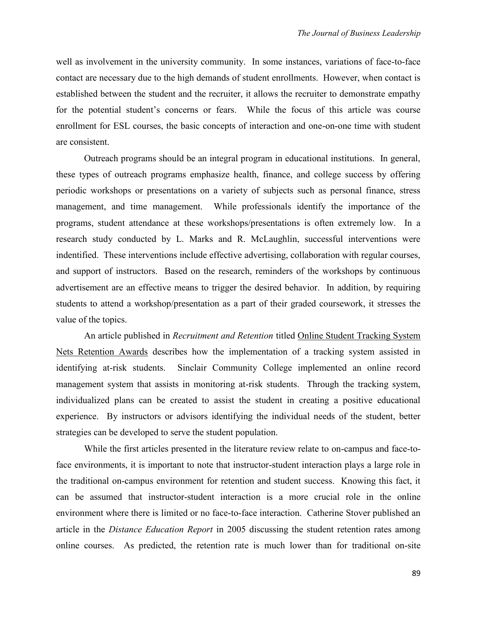well as involvement in the university community. In some instances, variations of face-to-face contact are necessary due to the high demands of student enrollments. However, when contact is established between the student and the recruiter, it allows the recruiter to demonstrate empathy for the potential student's concerns or fears. While the focus of this article was course enrollment for ESL courses, the basic concepts of interaction and one-on-one time with student are consistent.

Outreach programs should be an integral program in educational institutions. In general, these types of outreach programs emphasize health, finance, and college success by offering periodic workshops or presentations on a variety of subjects such as personal finance, stress management, and time management. While professionals identify the importance of the programs, student attendance at these workshops/presentations is often extremely low. In a research study conducted by L. Marks and R. McLaughlin, successful interventions were indentified. These interventions include effective advertising, collaboration with regular courses, and support of instructors. Based on the research, reminders of the workshops by continuous advertisement are an effective means to trigger the desired behavior. In addition, by requiring students to attend a workshop/presentation as a part of their graded coursework, it stresses the value of the topics.

An article published in *Recruitment and Retention* titled Online Student Tracking System Nets Retention Awards describes how the implementation of a tracking system assisted in identifying at-risk students. Sinclair Community College implemented an online record management system that assists in monitoring at-risk students. Through the tracking system, individualized plans can be created to assist the student in creating a positive educational experience. By instructors or advisors identifying the individual needs of the student, better strategies can be developed to serve the student population.

While the first articles presented in the literature review relate to on-campus and face-toface environments, it is important to note that instructor-student interaction plays a large role in the traditional on-campus environment for retention and student success. Knowing this fact, it can be assumed that instructor-student interaction is a more crucial role in the online environment where there is limited or no face-to-face interaction. Catherine Stover published an article in the *Distance Education Report* in 2005 discussing the student retention rates among online courses. As predicted, the retention rate is much lower than for traditional on-site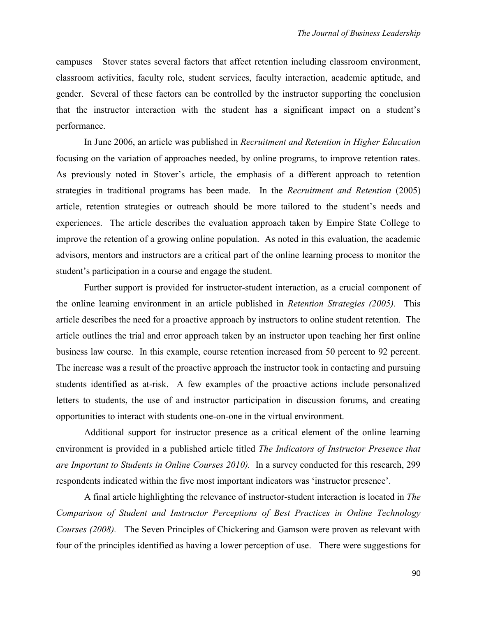campuses Stover states several factors that affect retention including classroom environment, classroom activities, faculty role, student services, faculty interaction, academic aptitude, and gender. Several of these factors can be controlled by the instructor supporting the conclusion that the instructor interaction with the student has a significant impact on a student's performance.

In June 2006, an article was published in *Recruitment and Retention in Higher Education* focusing on the variation of approaches needed, by online programs, to improve retention rates. As previously noted in Stover's article, the emphasis of a different approach to retention strategies in traditional programs has been made. In the *Recruitment and Retention* (2005) article, retention strategies or outreach should be more tailored to the student's needs and experiences. The article describes the evaluation approach taken by Empire State College to improve the retention of a growing online population. As noted in this evaluation, the academic advisors, mentors and instructors are a critical part of the online learning process to monitor the student's participation in a course and engage the student.

Further support is provided for instructor-student interaction, as a crucial component of the online learning environment in an article published in *Retention Strategies (2005)*. This article describes the need for a proactive approach by instructors to online student retention. The article outlines the trial and error approach taken by an instructor upon teaching her first online business law course. In this example, course retention increased from 50 percent to 92 percent. The increase was a result of the proactive approach the instructor took in contacting and pursuing students identified as at-risk. A few examples of the proactive actions include personalized letters to students, the use of and instructor participation in discussion forums, and creating opportunities to interact with students one-on-one in the virtual environment.

Additional support for instructor presence as a critical element of the online learning environment is provided in a published article titled *The Indicators of Instructor Presence that are Important to Students in Online Courses 2010).* In a survey conducted for this research, 299 respondents indicated within the five most important indicators was 'instructor presence'.

A final article highlighting the relevance of instructor-student interaction is located in *The Comparison of Student and Instructor Perceptions of Best Practices in Online Technology Courses (2008).* The Seven Principles of Chickering and Gamson were proven as relevant with four of the principles identified as having a lower perception of use. There were suggestions for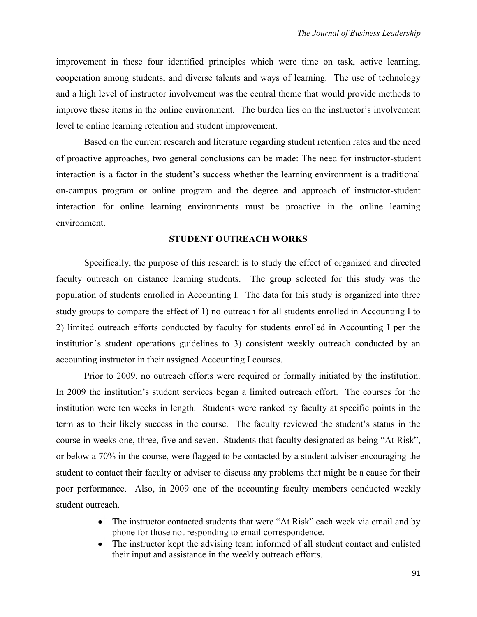improvement in these four identified principles which were time on task, active learning, cooperation among students, and diverse talents and ways of learning. The use of technology and a high level of instructor involvement was the central theme that would provide methods to improve these items in the online environment. The burden lies on the instructor's involvement level to online learning retention and student improvement.

Based on the current research and literature regarding student retention rates and the need of proactive approaches, two general conclusions can be made: The need for instructor-student interaction is a factor in the student's success whether the learning environment is a traditional on-campus program or online program and the degree and approach of instructor-student interaction for online learning environments must be proactive in the online learning environment.

### **STUDENT OUTREACH WORKS**

Specifically, the purpose of this research is to study the effect of organized and directed faculty outreach on distance learning students. The group selected for this study was the population of students enrolled in Accounting I. The data for this study is organized into three study groups to compare the effect of 1) no outreach for all students enrolled in Accounting I to 2) limited outreach efforts conducted by faculty for students enrolled in Accounting I per the institution's student operations guidelines to 3) consistent weekly outreach conducted by an accounting instructor in their assigned Accounting I courses.

Prior to 2009, no outreach efforts were required or formally initiated by the institution. In 2009 the institution's student services began a limited outreach effort. The courses for the institution were ten weeks in length. Students were ranked by faculty at specific points in the term as to their likely success in the course. The faculty reviewed the student's status in the course in weeks one, three, five and seven. Students that faculty designated as being "At Risk", or below a 70% in the course, were flagged to be contacted by a student adviser encouraging the student to contact their faculty or adviser to discuss any problems that might be a cause for their poor performance. Also, in 2009 one of the accounting faculty members conducted weekly student outreach.

- The instructor contacted students that were "At Risk" each week via email and by phone for those not responding to email correspondence.
- The instructor kept the advising team informed of all student contact and enlisted  $\bullet$ their input and assistance in the weekly outreach efforts.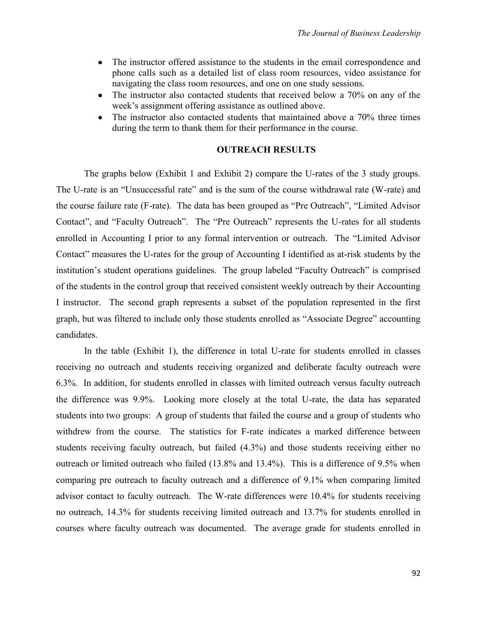- The instructor offered assistance to the students in the email correspondence and  $\bullet$ phone calls such as a detailed list of class room resources, video assistance for navigating the class room resources, and one on one study sessions.
- The instructor also contacted students that received below a 70% on any of the  $\bullet$ week's assignment offering assistance as outlined above.
- The instructor also contacted students that maintained above a 70% three times  $\bullet$ during the term to thank them for their performance in the course.

## **OUTREACH RESULTS**

The graphs below (Exhibit 1 and Exhibit 2) compare the U-rates of the 3 study groups. The U-rate is an "Unsuccessful rate" and is the sum of the course withdrawal rate (W-rate) and the course failure rate (F-rate). The data has been grouped as "Pre Outreach", "Limited Advisor Contact", and "Faculty Outreach". The "Pre Outreach" represents the U-rates for all students enrolled in Accounting I prior to any formal intervention or outreach. The "Limited Advisor Contact" measures the U-rates for the group of Accounting I identified as at-risk students by the institution's student operations guidelines. The group labeled "Faculty Outreach" is comprised of the students in the control group that received consistent weekly outreach by their Accounting I instructor. The second graph represents a subset of the population represented in the first graph, but was filtered to include only those students enrolled as "Associate Degree" accounting candidates.

In the table (Exhibit 1), the difference in total U-rate for students enrolled in classes receiving no outreach and students receiving organized and deliberate faculty outreach were 6.3%. In addition, for students enrolled in classes with limited outreach versus faculty outreach the difference was 9.9%. Looking more closely at the total U-rate, the data has separated students into two groups: A group of students that failed the course and a group of students who withdrew from the course. The statistics for F-rate indicates a marked difference between students receiving faculty outreach, but failed (4.3%) and those students receiving either no outreach or limited outreach who failed (13.8% and 13.4%). This is a difference of 9.5% when comparing pre outreach to faculty outreach and a difference of 9.1% when comparing limited advisor contact to faculty outreach. The W-rate differences were 10.4% for students receiving no outreach, 14.3% for students receiving limited outreach and 13.7% for students enrolled in courses where faculty outreach was documented. The average grade for students enrolled in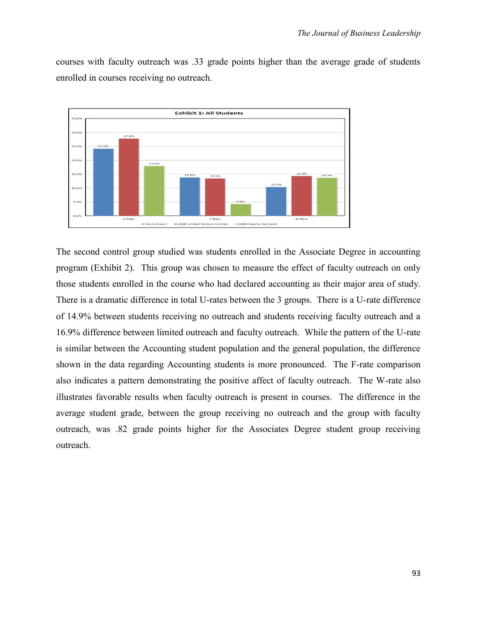courses with faculty outreach was .33 grade points higher than the average grade of students enrolled in courses receiving no outreach.



The second control group studied was students enrolled in the Associate Degree in accounting program (Exhibit 2). This group was chosen to measure the effect of faculty outreach on only those students enrolled in the course who had declared accounting as their major area of study. There is a dramatic difference in total U-rates between the 3 groups. There is a U-rate difference of 14.9% between students receiving no outreach and students receiving faculty outreach and a 16.9% difference between limited outreach and faculty outreach. While the pattern of the U-rate is similar between the Accounting student population and the general population, the difference shown in the data regarding Accounting students is more pronounced. The F-rate comparison also indicates a pattern demonstrating the positive affect of faculty outreach. The W-rate also illustrates favorable results when faculty outreach is present in courses. The difference in the average student grade, between the group receiving no outreach and the group with faculty outreach, was .82 grade points higher for the Associates Degree student group receiving outreach.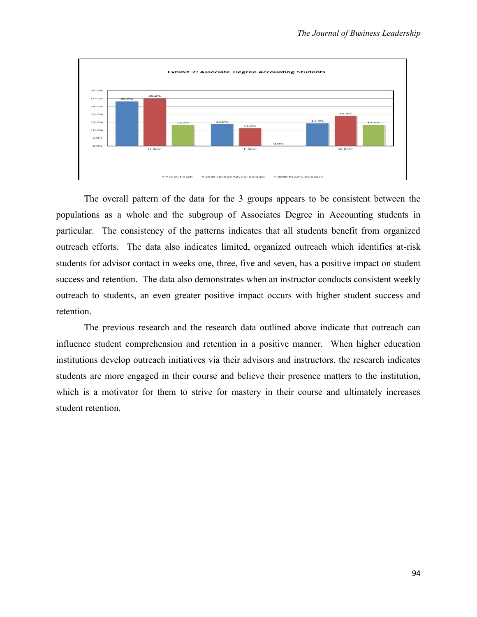

The overall pattern of the data for the 3 groups appears to be consistent between the populations as a whole and the subgroup of Associates Degree in Accounting students in particular. The consistency of the patterns indicates that all students benefit from organized outreach efforts. The data also indicates limited, organized outreach which identifies at-risk students for advisor contact in weeks one, three, five and seven, has a positive impact on student success and retention. The data also demonstrates when an instructor conducts consistent weekly outreach to students, an even greater positive impact occurs with higher student success and retention.

The previous research and the research data outlined above indicate that outreach can influence student comprehension and retention in a positive manner. When higher education institutions develop outreach initiatives via their advisors and instructors, the research indicates students are more engaged in their course and believe their presence matters to the institution, which is a motivator for them to strive for mastery in their course and ultimately increases student retention.